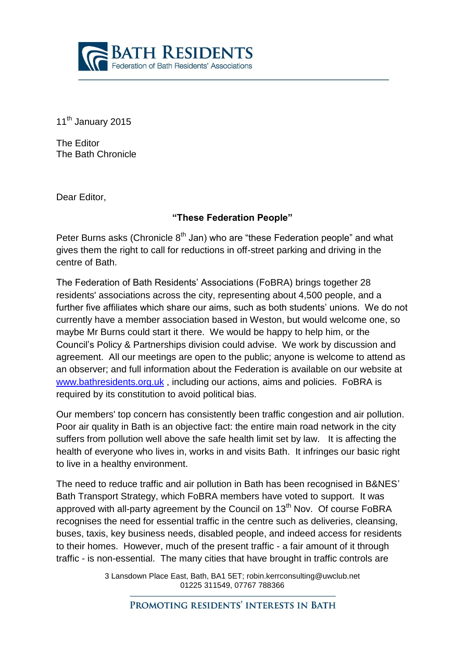

11<sup>th</sup> January 2015

The Editor The Bath Chronicle

Dear Editor,

## **"These Federation People"**

Peter Burns asks (Chronicle  $8<sup>th</sup>$  Jan) who are "these Federation people" and what gives them the right to call for reductions in off-street parking and driving in the centre of Bath.

The Federation of Bath Residents' Associations (FoBRA) brings together 28 residents' associations across the city, representing about 4,500 people, and a further five affiliates which share our aims, such as both students' unions. We do not currently have a member association based in Weston, but would welcome one, so maybe Mr Burns could start it there. We would be happy to help him, or the Council's Policy & Partnerships division could advise. We work by discussion and agreement. All our meetings are open to the public; anyone is welcome to attend as an observer; and full information about the Federation is available on our website at [www.bathresidents.org.uk](http://www.bathresidents.org.uk/), including our actions, aims and policies. FoBRA is required by its constitution to avoid political bias.

Our members' top concern has consistently been traffic congestion and air pollution. Poor air quality in Bath is an objective fact: the entire main road network in the city suffers from pollution well above the safe health limit set by law. It is affecting the health of everyone who lives in, works in and visits Bath. It infringes our basic right to live in a healthy environment.

The need to reduce traffic and air pollution in Bath has been recognised in B&NES' Bath Transport Strategy, which FoBRA members have voted to support. It was approved with all-party agreement by the Council on  $13<sup>th</sup>$  Nov. Of course FoBRA recognises the need for essential traffic in the centre such as deliveries, cleansing, buses, taxis, key business needs, disabled people, and indeed access for residents to their homes. However, much of the present traffic - a fair amount of it through traffic - is non-essential. The many cities that have brought in traffic controls are

> 3 Lansdown Place East, Bath, BA1 5ET; robin.kerrconsulting@uwclub.net 01225 311549, 07767 788366